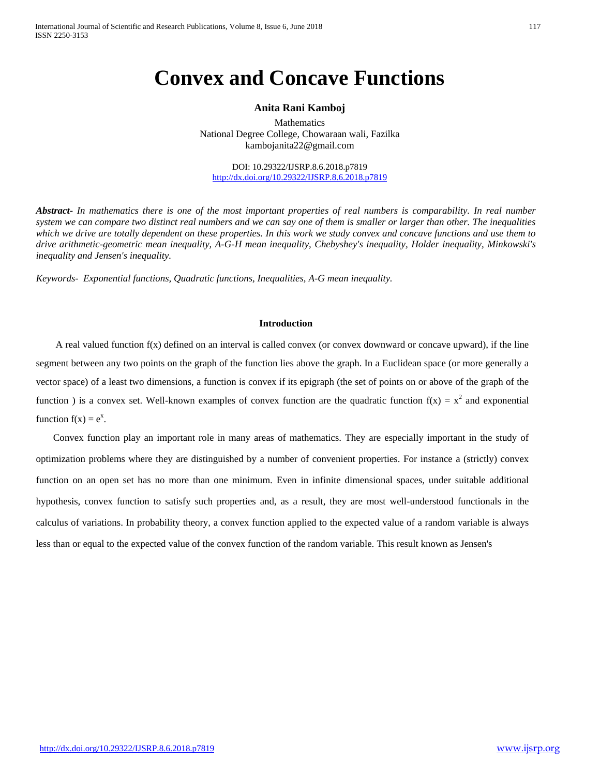# **Convex and Concave Functions**

## **Anita Rani Kamboj**

Mathematics National Degree College, Chowaraan wali, Fazilka kambojanita22@gmail.com

DOI: 10.29322/IJSRP.8.6.2018.p7819 <http://dx.doi.org/10.29322/IJSRP.8.6.2018.p7819>

*Abstract***-** *In mathematics there is one of the most important properties of real numbers is comparability. In real number system we can compare two distinct real numbers and we can say one of them is smaller or larger than other. The inequalities which we drive are totally dependent on these properties. In this work we study convex and concave functions and use them to drive arithmetic-geometric mean inequality, A-G-H mean inequality, Chebyshey's inequality, Holder inequality, Minkowski's inequality and Jensen's inequality.*

*Keywords- Exponential functions, Quadratic functions, Inequalities, A-G mean inequality.*

# **Introduction**

A real valued function  $f(x)$  defined on an interval is called convex (or convex downward or concave upward), if the line segment between any two points on the graph of the function lies above the graph. In a Euclidean space (or more generally a vector space) of a least two dimensions, a function is convex if its epigraph (the set of points on or above of the graph of the function ) is a convex set. Well-known examples of convex function are the quadratic function  $f(x) = x^2$  and exponential function  $f(x) = e^x$ .

Convex function play an important role in many areas of mathematics. They are especially important in the study of optimization problems where they are distinguished by a number of convenient properties. For instance a (strictly) convex function on an open set has no more than one minimum. Even in infinite dimensional spaces, under suitable additional hypothesis, convex function to satisfy such properties and, as a result, they are most well-understood functionals in the calculus of variations. In probability theory, a convex function applied to the expected value of a random variable is always less than or equal to the expected value of the convex function of the random variable. This result known as Jensen's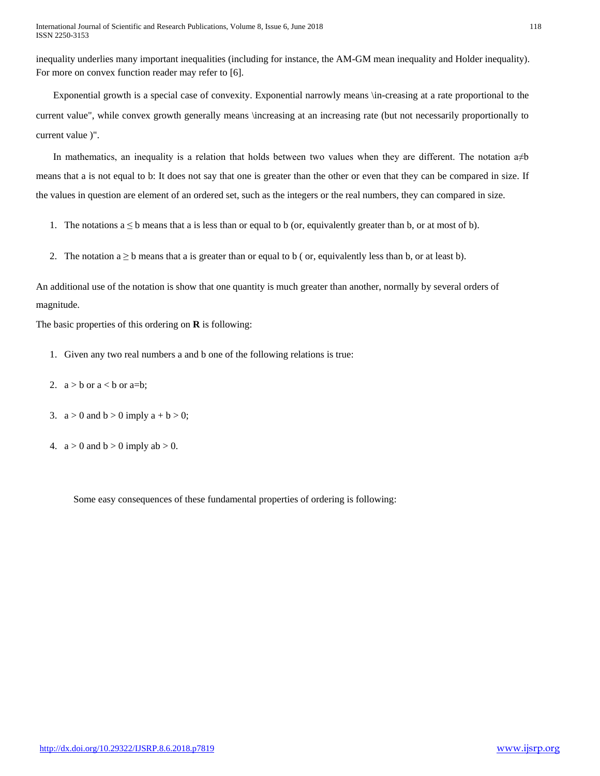inequality underlies many important inequalities (including for instance, the AM-GM mean inequality and Holder inequality). For more on convex function reader may refer to [6].

Exponential growth is a special case of convexity. Exponential narrowly means \in-creasing at a rate proportional to the current value", while convex growth generally means \increasing at an increasing rate (but not necessarily proportionally to current value )".

In mathematics, an inequality is a relation that holds between two values when they are different. The notation a≠b means that a is not equal to b: It does not say that one is greater than the other or even that they can be compared in size. If the values in question are element of an ordered set, such as the integers or the real numbers, they can compared in size.

- 1. The notations  $a \leq b$  means that a is less than or equal to b (or, equivalently greater than b, or at most of b).
- 2. The notation  $a \ge b$  means that a is greater than or equal to b ( or, equivalently less than b, or at least b).

An additional use of the notation is show that one quantity is much greater than another, normally by several orders of magnitude.

The basic properties of this ordering on **R** is following:

- 1. Given any two real numbers a and b one of the following relations is true:
- 2.  $a > b$  or  $a < b$  or  $a=b$ ;
- 3.  $a > 0$  and  $b > 0$  imply  $a + b > 0$ ;
- 4.  $a > 0$  and  $b > 0$  imply  $ab > 0$ .

Some easy consequences of these fundamental properties of ordering is following: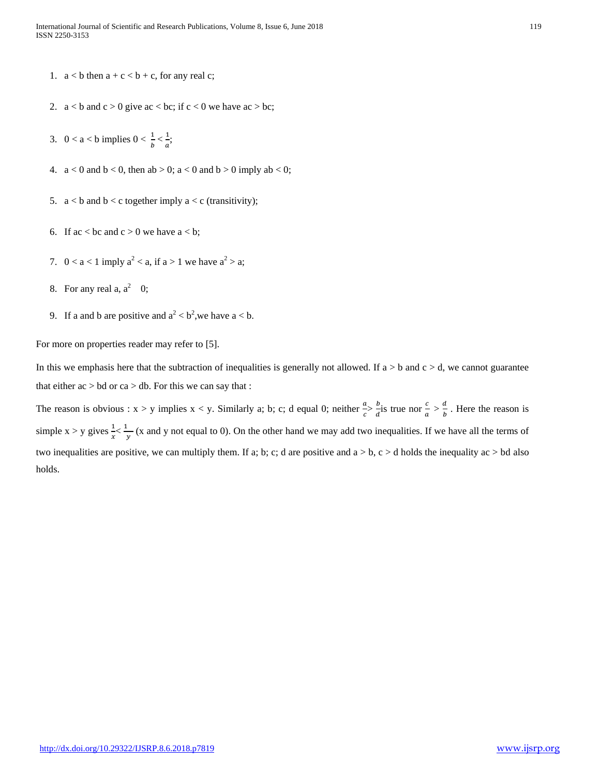- 1.  $a < b$  then  $a + c < b + c$ , for any real c;
- 2.  $a < b$  and  $c > 0$  give ac  $< bc$ ; if  $c < 0$  we have ac  $> bc$ ;
- 3. 0 < a < b implies  $0 < \frac{1}{b} < \frac{1}{a}$ ;
- 4.  $a < 0$  and  $b < 0$ , then  $ab > 0$ ;  $a < 0$  and  $b > 0$  imply  $ab < 0$ ;
- 5.  $a < b$  and  $b < c$  together imply  $a < c$  (transitivity);
- 6. If  $ac < bc$  and  $c > 0$  we have  $a < b$ ;
- 7.  $0 < a < 1$  imply  $a<sup>2</sup> < a$ , if  $a > 1$  we have  $a<sup>2</sup> > a$ ;
- 8. For any real a,  $a^2 \quad 0$ ;
- 9. If a and b are positive and  $a^2 < b^2$ , we have  $a < b$ .

For more on properties reader may refer to [5].

In this we emphasis here that the subtraction of inequalities is generally not allowed. If  $a > b$  and  $c > d$ , we cannot guarantee that either  $ac > bd$  or  $ca > db$ . For this we can say that :

The reason is obvious :  $x > y$  implies  $x < y$ . Similarly a; b; c; d equal 0; neither  $\frac{a}{c} > \frac{b}{d}$  $\frac{b}{a}$  is true nor  $\frac{c}{a} > \frac{d}{b}$  $\frac{a}{b}$ . Here the reason is simple  $x > y$  gives  $\frac{1}{x} < \frac{1}{y}$  (x and y not equal to 0). On the other hand we may add two inequalities. If we have all the terms of two inequalities are positive, we can multiply them. If a; b; c; d are positive and  $a > b$ ,  $c > d$  holds the inequality ac  $> bd$  also holds.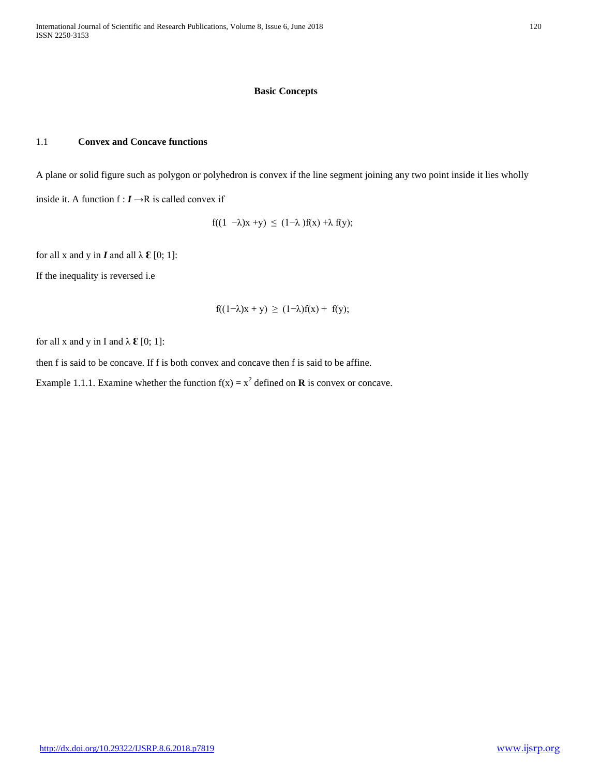# **Basic Concepts**

# 1.1 **Convex and Concave functions**

A plane or solid figure such as polygon or polyhedron is convex if the line segment joining any two point inside it lies wholly inside it. A function  $f : I \rightarrow R$  is called convex if

$$
f((1 - \lambda)x + y) \le (1 - \lambda)f(x) + \lambda f(y);
$$

for all x and y in **I** and all  $\lambda \mathcal{E} [0; 1]$ :

If the inequality is reversed i.e

$$
f((1-\lambda)x + y) \ge (1-\lambda)f(x) + f(y);
$$

for all x and y in I and  $\lambda \mathcal{E}$  [0; 1]:

then f is said to be concave. If f is both convex and concave then f is said to be affine.

Example 1.1.1. Examine whether the function  $f(x) = x^2$  defined on **R** is convex or concave.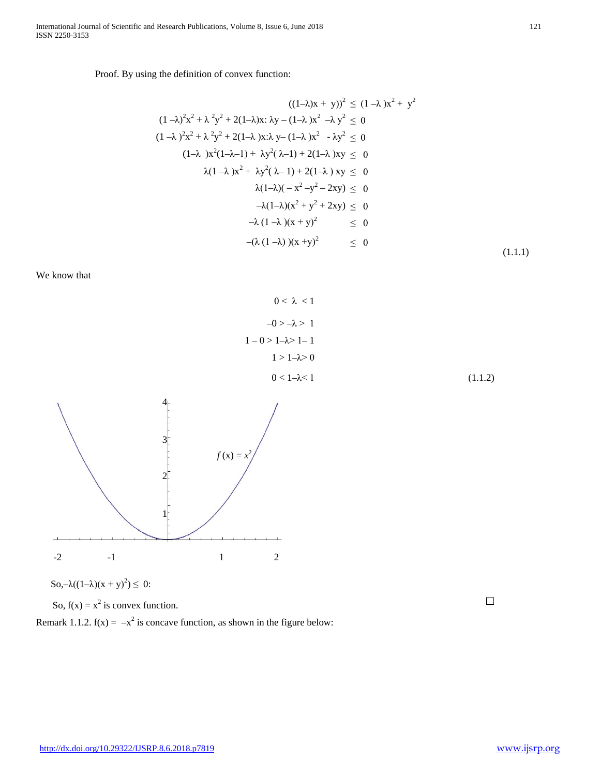# Proof. By using the definition of convex function:

$$
((1-\lambda)x + y))^2 \le (1-\lambda)x^2 + y^2
$$
  
\n
$$
(1-\lambda)^2x^2 + \lambda^2y^2 + 2(1-\lambda)x \cdot \lambda y - (1-\lambda)x^2 - \lambda y^2 \le 0
$$
  
\n
$$
(1-\lambda)^2x^2 + \lambda^2y^2 + 2(1-\lambda)x \cdot \lambda y - (1-\lambda)x^2 - \lambda y^2 \le 0
$$
  
\n
$$
(1-\lambda)x^2(1-\lambda-1) + \lambda y^2(\lambda-1) + 2(1-\lambda)xy \le 0
$$
  
\n
$$
\lambda(1-\lambda)x^2 + \lambda y^2(\lambda-1) + 2(1-\lambda)xy \le 0
$$
  
\n
$$
\lambda(1-\lambda)(-x^2-y^2-2xy) \le 0
$$
  
\n
$$
-\lambda(1-\lambda)(x^2 + y^2 + 2xy) \le 0
$$
  
\n
$$
-\lambda(1-\lambda)(x + y)^2 \le 0
$$
  
\n
$$
-(\lambda(1-\lambda))(x + y)^2 \le 0
$$
  
\n(1.1.1)

We know that

$$
0 < \lambda < 1
$$
  
\n
$$
-0 > -\lambda > 1
$$
  
\n
$$
1 - 0 > 1 - \lambda > 1 - 1
$$
  
\n
$$
1 > 1 - \lambda > 0
$$
  
\n
$$
0 < 1 - \lambda < 1
$$
\n(1.1.2)



So, $-\lambda((1-\lambda)(x+y)^2) \leq 0$ :

So,  $f(x) = x^2$  is convex function.

Remark 1.1.2.  $f(x) = -x^2$  is concave function, as shown in the figure below:

 $\Box$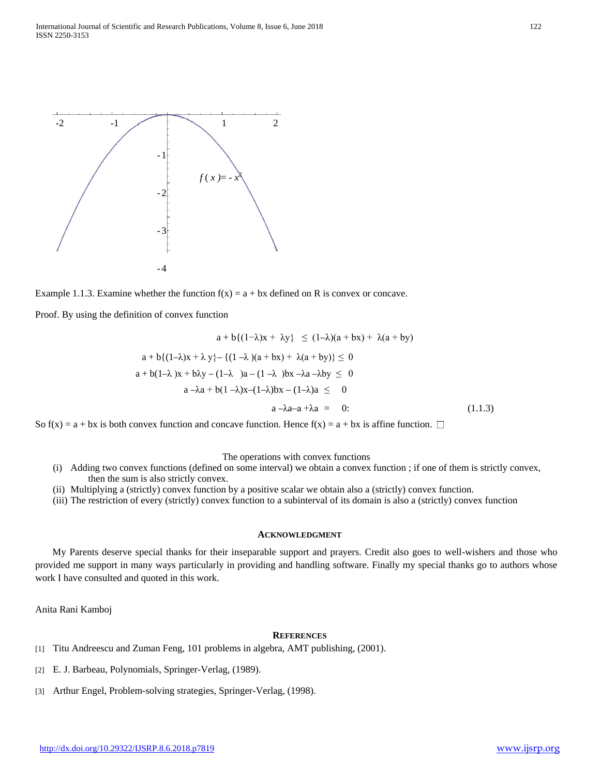

Example 1.1.3. Examine whether the function  $f(x) = a + bx$  defined on R is convex or concave.

Proof. By using the definition of convex function

$$
a + b\{(1-\lambda)x + \lambda y\} \le (1-\lambda)(a+bx) + \lambda(a+by)
$$
  
\n
$$
a + b\{(1-\lambda)x + \lambda y\} - \{(1-\lambda)(a+bx) + \lambda(a+by)\} \le 0
$$
  
\n
$$
a + b(1-\lambda)x + b\lambda y - (1-\lambda)a - (1-\lambda)b\lambda - \lambda a - \lambda by \le 0
$$
  
\n
$$
a - \lambda a + b(1-\lambda)x - (1-\lambda)b\lambda - (1-\lambda)a \le 0
$$
  
\n
$$
a - \lambda a - a + \lambda a = 0:
$$
\n(1.1.3)

So  $f(x) = a + bx$  is both convex function and concave function. Hence  $f(x) = a + bx$  is affine function.  $\Box$ 

### The operations with convex functions

- (i) Adding two convex functions (defined on some interval) we obtain a convex function ; if one of them is strictly convex, then the sum is also strictly convex.
- (ii) Multiplying a (strictly) convex function by a positive scalar we obtain also a (strictly) convex function.
- (iii) The restriction of every (strictly) convex function to a subinterval of its domain is also a (strictly) convex function

#### **ACKNOWLEDGMENT**

My Parents deserve special thanks for their inseparable support and prayers. Credit also goes to well-wishers and those who provided me support in many ways particularly in providing and handling software. Finally my special thanks go to authors whose work I have consulted and quoted in this work.

Anita Rani Kamboj

## **REFERENCES**

- [1] Titu Andreescu and Zuman Feng, 101 problems in algebra, AMT publishing, (2001).
- [2] E. J. Barbeau, Polynomials, Springer-Verlag, (1989).
- [3] Arthur Engel, Problem-solving strategies, Springer-Verlag, (1998).